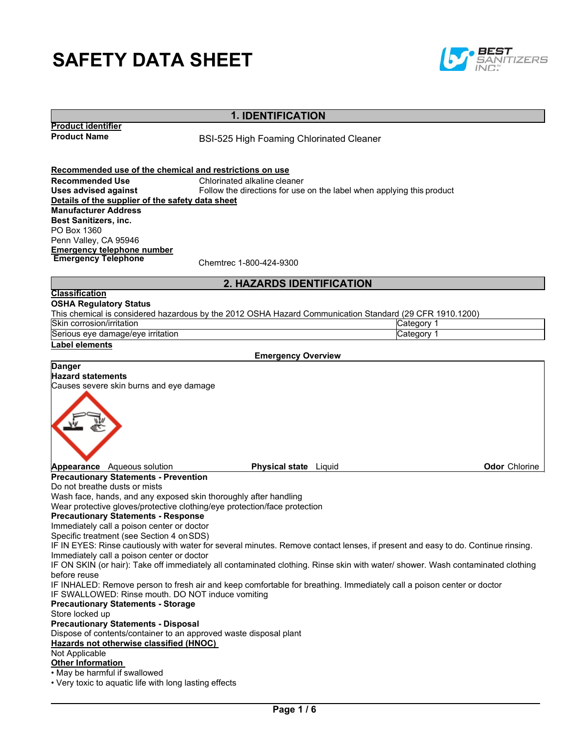# **SAFETY DATA SHEET**



# **1. IDENTIFICATION**

**Product identifier**

**BSI-525 High Foaming Chlorinated Cleaner** 

**Recommended use of the chemical and restrictions on use Recommended Use** Chlorinated alkaline cleaner<br> **Uses advised against** Follow the directions for use Follow the directions for use on the label when applying this product **Details of the supplier of the safety data sheet Manufacturer Address Best Sanitizers, inc.** PO Box 1360 Penn Valley, CA 95946 **Emergency telephone number Emergency Telephone**<br>
Chemtrec 1-800-424-9300

## **2. HAZARDS IDENTIFICATION**

#### **Classification OSHA Regulatory Status**

This chemical is considered hazardous by the 2012 OSHA Hazard Communication Standard (29 CFR 1910.1200)

| <b>Skir</b><br>ı/ırrıtatıor<br>∴∪orrosion <i>''</i>          | vaorv<br>. |
|--------------------------------------------------------------|------------|
| r<br>. .<br><u>ırrıtatıor</u><br><b>ISeriot</b><br>eve<br>аа | anny       |

## **Label elements**

#### **Emergency Overview**

**Danger Hazard statements** Causes severe skin burns and eye damage **Appearance** Aqueous solution **Physical state** Liquid **Odor** Chlorine **Precautionary Statements - Prevention**

Do not breathe dusts or mists

Wash face, hands, and any exposed skin thoroughly after handling

Wear protective gloves/protective clothing/eye protection/face protection

#### **Precautionary Statements - Response**

Immediately call a poison center or doctor

Specific treatment (see Section 4 on SDS)

IF IN EYES: Rinse cautiously with water for several minutes. Remove contact lenses, if present and easy to do. Continue rinsing. Immediately call a poison center or doctor

IF ON SKIN (or hair): Take off immediately all contaminated clothing. Rinse skin with water/ shower. Wash contaminated clothing before reuse

IF INHALED: Remove person to fresh air and keep comfortable for breathing. Immediately call a poison center or doctor IF SWALLOWED: Rinse mouth. DO NOT induce vomiting

### **Precautionary Statements - Storage**

Store locked up

**Precautionary Statements - Disposal**

Dispose of contents/container to an approved waste disposal plant

#### **Hazards not otherwise classified (HNOC)**

Not Applicable

#### **Other Information**

• May be harmful if swallowed

• Very toxic to aquatic life with long lasting effects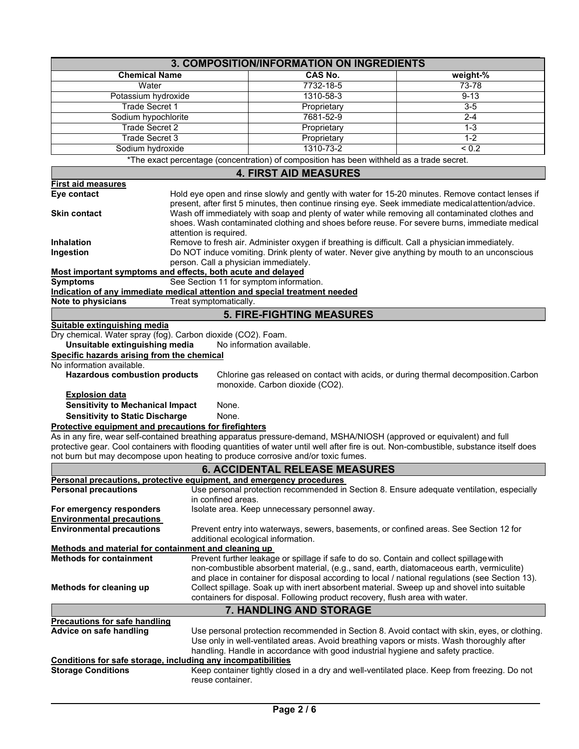| 3. COMPOSITION/INFORMATION ON INGREDIENTS                                                                                                                                                                                                                                                                                                                                                                                                                                                                                                                                                |                                                                                                                                                                                                                                                                                                                                                                                                                                                                                                                                                       |                                                                                                                                                                                                                                                                                                                                                                                                                                                                   |                   |  |  |  |  |  |  |
|------------------------------------------------------------------------------------------------------------------------------------------------------------------------------------------------------------------------------------------------------------------------------------------------------------------------------------------------------------------------------------------------------------------------------------------------------------------------------------------------------------------------------------------------------------------------------------------|-------------------------------------------------------------------------------------------------------------------------------------------------------------------------------------------------------------------------------------------------------------------------------------------------------------------------------------------------------------------------------------------------------------------------------------------------------------------------------------------------------------------------------------------------------|-------------------------------------------------------------------------------------------------------------------------------------------------------------------------------------------------------------------------------------------------------------------------------------------------------------------------------------------------------------------------------------------------------------------------------------------------------------------|-------------------|--|--|--|--|--|--|
| <b>Chemical Name</b>                                                                                                                                                                                                                                                                                                                                                                                                                                                                                                                                                                     |                                                                                                                                                                                                                                                                                                                                                                                                                                                                                                                                                       | <b>CAS No.</b><br>weight-%                                                                                                                                                                                                                                                                                                                                                                                                                                        |                   |  |  |  |  |  |  |
| Water                                                                                                                                                                                                                                                                                                                                                                                                                                                                                                                                                                                    |                                                                                                                                                                                                                                                                                                                                                                                                                                                                                                                                                       | 7732-18-5                                                                                                                                                                                                                                                                                                                                                                                                                                                         | 73-78             |  |  |  |  |  |  |
| Potassium hydroxide                                                                                                                                                                                                                                                                                                                                                                                                                                                                                                                                                                      |                                                                                                                                                                                                                                                                                                                                                                                                                                                                                                                                                       | 1310-58-3                                                                                                                                                                                                                                                                                                                                                                                                                                                         | $9 - 13$          |  |  |  |  |  |  |
| <b>Trade Secret 1</b>                                                                                                                                                                                                                                                                                                                                                                                                                                                                                                                                                                    |                                                                                                                                                                                                                                                                                                                                                                                                                                                                                                                                                       | Proprietary                                                                                                                                                                                                                                                                                                                                                                                                                                                       | $3-5$             |  |  |  |  |  |  |
| Sodium hypochlorite                                                                                                                                                                                                                                                                                                                                                                                                                                                                                                                                                                      |                                                                                                                                                                                                                                                                                                                                                                                                                                                                                                                                                       | 7681-52-9                                                                                                                                                                                                                                                                                                                                                                                                                                                         | $2 - 4$           |  |  |  |  |  |  |
| Trade Secret 2                                                                                                                                                                                                                                                                                                                                                                                                                                                                                                                                                                           |                                                                                                                                                                                                                                                                                                                                                                                                                                                                                                                                                       | Proprietary                                                                                                                                                                                                                                                                                                                                                                                                                                                       | $1 - 3$           |  |  |  |  |  |  |
| <b>Trade Secret 3</b>                                                                                                                                                                                                                                                                                                                                                                                                                                                                                                                                                                    |                                                                                                                                                                                                                                                                                                                                                                                                                                                                                                                                                       | Proprietary                                                                                                                                                                                                                                                                                                                                                                                                                                                       | $1 - 2$           |  |  |  |  |  |  |
| Sodium hydroxide                                                                                                                                                                                                                                                                                                                                                                                                                                                                                                                                                                         |                                                                                                                                                                                                                                                                                                                                                                                                                                                                                                                                                       | 1310-73-2                                                                                                                                                                                                                                                                                                                                                                                                                                                         | $\overline{50.2}$ |  |  |  |  |  |  |
|                                                                                                                                                                                                                                                                                                                                                                                                                                                                                                                                                                                          |                                                                                                                                                                                                                                                                                                                                                                                                                                                                                                                                                       | *The exact percentage (concentration) of composition has been withheld as a trade secret.                                                                                                                                                                                                                                                                                                                                                                         |                   |  |  |  |  |  |  |
|                                                                                                                                                                                                                                                                                                                                                                                                                                                                                                                                                                                          |                                                                                                                                                                                                                                                                                                                                                                                                                                                                                                                                                       | <b>4. FIRST AID MEASURES</b>                                                                                                                                                                                                                                                                                                                                                                                                                                      |                   |  |  |  |  |  |  |
| <b>First aid measures</b>                                                                                                                                                                                                                                                                                                                                                                                                                                                                                                                                                                |                                                                                                                                                                                                                                                                                                                                                                                                                                                                                                                                                       |                                                                                                                                                                                                                                                                                                                                                                                                                                                                   |                   |  |  |  |  |  |  |
| <b>Skin contact</b><br><b>Inhalation</b>                                                                                                                                                                                                                                                                                                                                                                                                                                                                                                                                                 | Eye contact<br>Hold eye open and rinse slowly and gently with water for 15-20 minutes. Remove contact lenses if<br>present, after first 5 minutes, then continue rinsing eye. Seek immediate medicalattention/advice.<br>Wash off immediately with soap and plenty of water while removing all contaminated clothes and<br>shoes. Wash contaminated clothing and shoes before reuse. For severe burns, immediate medical<br>attention is required.<br>Remove to fresh air. Administer oxygen if breathing is difficult. Call a physician immediately. |                                                                                                                                                                                                                                                                                                                                                                                                                                                                   |                   |  |  |  |  |  |  |
| Ingestion                                                                                                                                                                                                                                                                                                                                                                                                                                                                                                                                                                                |                                                                                                                                                                                                                                                                                                                                                                                                                                                                                                                                                       |                                                                                                                                                                                                                                                                                                                                                                                                                                                                   |                   |  |  |  |  |  |  |
| <b>Symptoms</b><br>Note to physicians                                                                                                                                                                                                                                                                                                                                                                                                                                                                                                                                                    | Do NOT induce vomiting. Drink plenty of water. Never give anything by mouth to an unconscious<br>person. Call a physician immediately.<br>Most important symptoms and effects, both acute and delayed<br>See Section 11 for symptom information.<br>Indication of any immediate medical attention and special treatment needed<br>Treat symptomatically.                                                                                                                                                                                              |                                                                                                                                                                                                                                                                                                                                                                                                                                                                   |                   |  |  |  |  |  |  |
| Suitable extinguishing media                                                                                                                                                                                                                                                                                                                                                                                                                                                                                                                                                             |                                                                                                                                                                                                                                                                                                                                                                                                                                                                                                                                                       | <b>5. FIRE-FIGHTING MEASURES</b>                                                                                                                                                                                                                                                                                                                                                                                                                                  |                   |  |  |  |  |  |  |
| Unsuitable extinguishing media<br>Specific hazards arising from the chemical<br>No information available.<br><b>Hazardous combustion products</b><br><b>Explosion data</b><br><b>Sensitivity to Mechanical Impact</b><br><b>Sensitivity to Static Discharge</b><br>Protective equipment and precautions for firefighters<br>not burn but may decompose upon heating to produce corrosive and/or toxic fumes.                                                                                                                                                                             | None.<br>None.                                                                                                                                                                                                                                                                                                                                                                                                                                                                                                                                        | No information available.<br>Chlorine gas released on contact with acids, or during thermal decomposition. Carbon<br>monoxide. Carbon dioxide (CO2).<br>As in any fire, wear self-contained breathing apparatus pressure-demand, MSHA/NIOSH (approved or equivalent) and full<br>protective gear. Cool containers with flooding quantities of water until well after fire is out. Non-combustible, substance itself does<br><b>6. ACCIDENTAL RELEASE MEASURES</b> |                   |  |  |  |  |  |  |
|                                                                                                                                                                                                                                                                                                                                                                                                                                                                                                                                                                                          |                                                                                                                                                                                                                                                                                                                                                                                                                                                                                                                                                       |                                                                                                                                                                                                                                                                                                                                                                                                                                                                   |                   |  |  |  |  |  |  |
| Personal precautions, protective equipment, and emergency procedures<br><b>Personal precautions</b>                                                                                                                                                                                                                                                                                                                                                                                                                                                                                      |                                                                                                                                                                                                                                                                                                                                                                                                                                                                                                                                                       | Use personal protection recommended in Section 8. Ensure adequate ventilation, especially                                                                                                                                                                                                                                                                                                                                                                         |                   |  |  |  |  |  |  |
|                                                                                                                                                                                                                                                                                                                                                                                                                                                                                                                                                                                          | in confined areas.                                                                                                                                                                                                                                                                                                                                                                                                                                                                                                                                    |                                                                                                                                                                                                                                                                                                                                                                                                                                                                   |                   |  |  |  |  |  |  |
| Isolate area. Keep unnecessary personnel away.<br>For emergency responders                                                                                                                                                                                                                                                                                                                                                                                                                                                                                                               |                                                                                                                                                                                                                                                                                                                                                                                                                                                                                                                                                       |                                                                                                                                                                                                                                                                                                                                                                                                                                                                   |                   |  |  |  |  |  |  |
| <b>Environmental precautions</b>                                                                                                                                                                                                                                                                                                                                                                                                                                                                                                                                                         |                                                                                                                                                                                                                                                                                                                                                                                                                                                                                                                                                       |                                                                                                                                                                                                                                                                                                                                                                                                                                                                   |                   |  |  |  |  |  |  |
| <b>Environmental precautions</b>                                                                                                                                                                                                                                                                                                                                                                                                                                                                                                                                                         |                                                                                                                                                                                                                                                                                                                                                                                                                                                                                                                                                       | Prevent entry into waterways, sewers, basements, or confined areas. See Section 12 for                                                                                                                                                                                                                                                                                                                                                                            |                   |  |  |  |  |  |  |
|                                                                                                                                                                                                                                                                                                                                                                                                                                                                                                                                                                                          |                                                                                                                                                                                                                                                                                                                                                                                                                                                                                                                                                       | additional ecological information.                                                                                                                                                                                                                                                                                                                                                                                                                                |                   |  |  |  |  |  |  |
| Methods and material for containment and cleaning up<br><b>Methods for containment</b><br>Prevent further leakage or spillage if safe to do so. Contain and collect spillage with<br>non-combustible absorbent material, (e.g., sand, earth, diatomaceous earth, vermiculite)<br>and place in container for disposal according to local / national regulations (see Section 13).<br>Collect spillage. Soak up with inert absorbent material. Sweep up and shovel into suitable<br>Methods for cleaning up<br>containers for disposal. Following product recovery, flush area with water. |                                                                                                                                                                                                                                                                                                                                                                                                                                                                                                                                                       |                                                                                                                                                                                                                                                                                                                                                                                                                                                                   |                   |  |  |  |  |  |  |
|                                                                                                                                                                                                                                                                                                                                                                                                                                                                                                                                                                                          |                                                                                                                                                                                                                                                                                                                                                                                                                                                                                                                                                       | 7. HANDLING AND STORAGE                                                                                                                                                                                                                                                                                                                                                                                                                                           |                   |  |  |  |  |  |  |
| <b>Precautions for safe handling</b>                                                                                                                                                                                                                                                                                                                                                                                                                                                                                                                                                     |                                                                                                                                                                                                                                                                                                                                                                                                                                                                                                                                                       |                                                                                                                                                                                                                                                                                                                                                                                                                                                                   |                   |  |  |  |  |  |  |
| Advice on safe handling<br>Conditions for safe storage, including any incompatibilities                                                                                                                                                                                                                                                                                                                                                                                                                                                                                                  |                                                                                                                                                                                                                                                                                                                                                                                                                                                                                                                                                       | Use personal protection recommended in Section 8. Avoid contact with skin, eyes, or clothing.<br>Use only in well-ventilated areas. Avoid breathing vapors or mists. Wash thoroughly after<br>handling. Handle in accordance with good industrial hygiene and safety practice.                                                                                                                                                                                    |                   |  |  |  |  |  |  |
| <b>Storage Conditions</b>                                                                                                                                                                                                                                                                                                                                                                                                                                                                                                                                                                | Keep container tightly closed in a dry and well-ventilated place. Keep from freezing. Do not<br>reuse container.                                                                                                                                                                                                                                                                                                                                                                                                                                      |                                                                                                                                                                                                                                                                                                                                                                                                                                                                   |                   |  |  |  |  |  |  |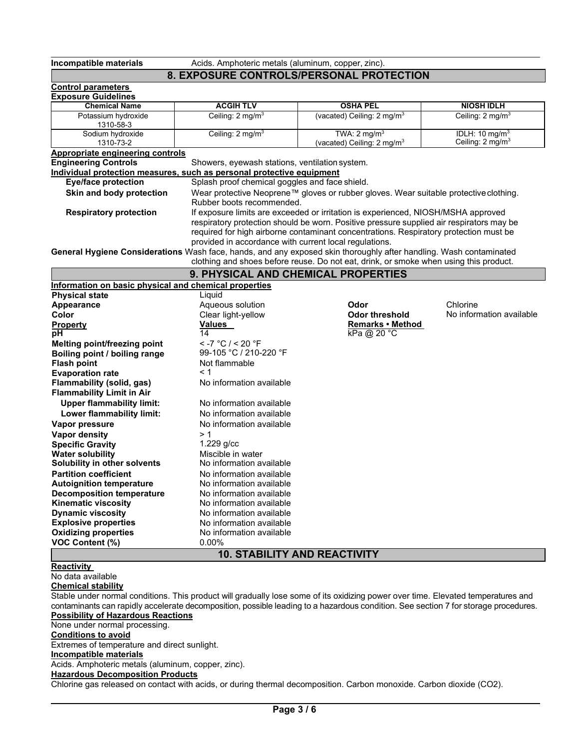**Incompatible materials** Acids. Amphoteric metals (aluminum, copper, zinc).

# **8. EXPOSURE CONTROLS/PERSONAL PROTECTION**

|                                                                        |                                                | -AF OUDINE OONTINGEDIFENDONAE FINGTEGTIOI                                                                                           |                              |  |  |
|------------------------------------------------------------------------|------------------------------------------------|-------------------------------------------------------------------------------------------------------------------------------------|------------------------------|--|--|
| <b>Control parameters</b>                                              |                                                |                                                                                                                                     |                              |  |  |
| <b>Exposure Guidelines</b><br><b>Chemical Name</b>                     | <b>ACGIH TLV</b>                               | <b>OSHA PEL</b>                                                                                                                     | <b>NIOSH IDLH</b>            |  |  |
| Potassium hydroxide                                                    | Ceiling: $2 \text{ mg/m}^3$                    | (vacated) Ceiling: 2 mg/m <sup>3</sup>                                                                                              | Ceiling: $2 \text{ mg/m}^3$  |  |  |
| 1310-58-3                                                              |                                                |                                                                                                                                     |                              |  |  |
| Sodium hydroxide                                                       | Ceiling: 2 mg/m <sup>3</sup>                   | IDLH: $10 \text{ mg/m}^3$                                                                                                           |                              |  |  |
| 1310-73-2                                                              |                                                | (vacated) Ceiling: $2 \text{ mg/m}^3$                                                                                               | Ceiling: 2 mg/m <sup>3</sup> |  |  |
| <b>Appropriate engineering controls</b><br><b>Engineering Controls</b> |                                                |                                                                                                                                     |                              |  |  |
| Individual protection measures, such as personal protective equipment  | Showers, eyewash stations, ventilation system. |                                                                                                                                     |                              |  |  |
| <b>Eye/face protection</b>                                             | Splash proof chemical goggles and face shield. |                                                                                                                                     |                              |  |  |
| Skin and body protection                                               |                                                | Wear protective Neoprene™ gloves or rubber gloves. Wear suitable protective clothing.                                               |                              |  |  |
|                                                                        | Rubber boots recommended.                      |                                                                                                                                     |                              |  |  |
| <b>Respiratory protection</b>                                          |                                                | If exposure limits are exceeded or irritation is experienced, NIOSH/MSHA approved                                                   |                              |  |  |
|                                                                        |                                                | respiratory protection should be worn. Positive pressure supplied air respirators may be                                            |                              |  |  |
|                                                                        |                                                | required for high airborne contaminant concentrations. Respiratory protection must be                                               |                              |  |  |
|                                                                        |                                                | provided in accordance with current local regulations.                                                                              |                              |  |  |
|                                                                        |                                                | General Hygiene Considerations Wash face, hands, and any exposed skin thoroughly after handling. Wash contaminated                  |                              |  |  |
|                                                                        |                                                | clothing and shoes before reuse. Do not eat, drink, or smoke when using this product.                                               |                              |  |  |
|                                                                        |                                                | 9. PHYSICAL AND CHEMICAL PROPERTIES                                                                                                 |                              |  |  |
| Information on basic physical and chemical properties                  |                                                |                                                                                                                                     |                              |  |  |
| <b>Physical state</b>                                                  | Liquid                                         |                                                                                                                                     |                              |  |  |
| Appearance                                                             | Aqueous solution                               | Odor                                                                                                                                | Chlorine                     |  |  |
| Color                                                                  | Clear light-yellow                             | Odor threshold                                                                                                                      | No information available     |  |  |
| <b>Property</b>                                                        | <b>Values</b>                                  | Remarks • Method                                                                                                                    |                              |  |  |
| рH                                                                     | 14                                             | $kPa$ @ 20 °C                                                                                                                       |                              |  |  |
| Melting point/freezing point                                           | $<$ -7 °C / < 20 °F                            |                                                                                                                                     |                              |  |  |
| Boiling point / boiling range                                          | 99-105 °C / 210-220 °F                         |                                                                                                                                     |                              |  |  |
| <b>Flash point</b>                                                     | Not flammable                                  |                                                                                                                                     |                              |  |  |
| <b>Evaporation rate</b>                                                | < 1                                            |                                                                                                                                     |                              |  |  |
| Flammability (solid, gas)                                              | No information available                       |                                                                                                                                     |                              |  |  |
| <b>Flammability Limit in Air</b>                                       |                                                |                                                                                                                                     |                              |  |  |
| <b>Upper flammability limit:</b>                                       | No information available                       |                                                                                                                                     |                              |  |  |
| Lower flammability limit:                                              | No information available                       |                                                                                                                                     |                              |  |  |
| Vapor pressure                                                         | No information available                       |                                                                                                                                     |                              |  |  |
| <b>Vapor density</b>                                                   | >1                                             |                                                                                                                                     |                              |  |  |
| <b>Specific Gravity</b>                                                | $1.229$ g/cc                                   |                                                                                                                                     |                              |  |  |
| <b>Water solubility</b><br>Solubility in other solvents                | Miscible in water<br>No information available  |                                                                                                                                     |                              |  |  |
| <b>Partition coefficient</b>                                           | No information available                       |                                                                                                                                     |                              |  |  |
| <b>Autoignition temperature</b>                                        | No information available                       |                                                                                                                                     |                              |  |  |
| <b>Decomposition temperature</b>                                       | No information available                       |                                                                                                                                     |                              |  |  |
| <b>Kinematic viscosity</b>                                             | No information available                       |                                                                                                                                     |                              |  |  |
| <b>Dynamic viscosity</b>                                               | No information available                       |                                                                                                                                     |                              |  |  |
| <b>Explosive properties</b>                                            | No information available                       |                                                                                                                                     |                              |  |  |
| <b>Oxidizing properties</b>                                            | No information available                       |                                                                                                                                     |                              |  |  |
| <b>VOC Content (%)</b>                                                 | $0.00\%$                                       |                                                                                                                                     |                              |  |  |
|                                                                        |                                                | <b>10. STABILITY AND REACTIVITY</b>                                                                                                 |                              |  |  |
| <b>Reactivity</b>                                                      |                                                |                                                                                                                                     |                              |  |  |
| No data available                                                      |                                                |                                                                                                                                     |                              |  |  |
| <b>Chemical stability</b>                                              |                                                |                                                                                                                                     |                              |  |  |
|                                                                        |                                                | Stable under normal conditions. This product will gradually lose some of its oxidizing power over time. Elevated temperatures and   |                              |  |  |
|                                                                        |                                                | contaminants can rapidly accelerate decomposition, possible leading to a hazardous condition. See section 7 for storage procedures. |                              |  |  |
| <b>Possibility of Hazardous Reactions</b>                              |                                                |                                                                                                                                     |                              |  |  |
| None under normal processing.                                          |                                                |                                                                                                                                     |                              |  |  |
| <b>Conditions to avoid</b>                                             |                                                |                                                                                                                                     |                              |  |  |
| Extremes of temperature and direct sunlight.                           |                                                |                                                                                                                                     |                              |  |  |
| Incompatible materials                                                 |                                                |                                                                                                                                     |                              |  |  |
| Acids. Amphoteric metals (aluminum, copper, zinc).                     |                                                |                                                                                                                                     |                              |  |  |

**Hazardous Decomposition Products**

Chlorine gas released on contact with acids, or during thermal decomposition. Carbon monoxide. Carbon dioxide (CO2).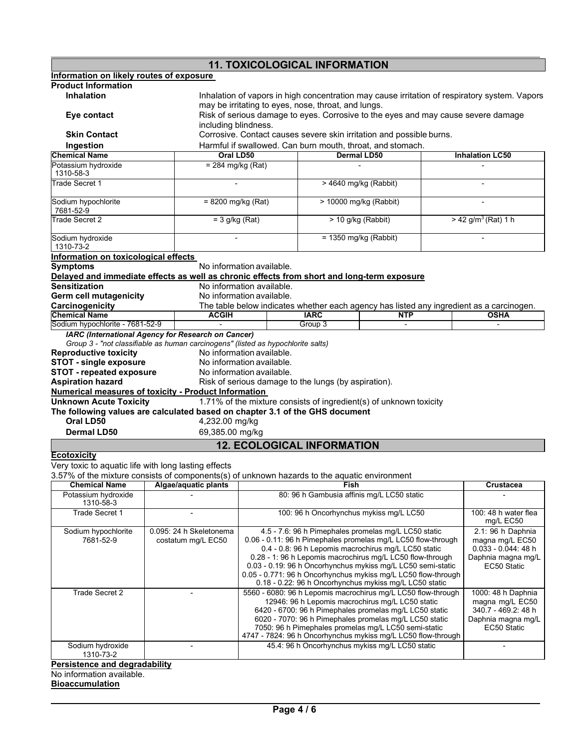| <b>11. TOXICOLOGICAL INFORMATION</b>                                                                               |  |                                                                                                                                                      |  |                                                                                                                                                                                                                                                                                                                                                              |                                                                                                                                                                              |                                                                                                   |                                                                |                                                                                                         |  |
|--------------------------------------------------------------------------------------------------------------------|--|------------------------------------------------------------------------------------------------------------------------------------------------------|--|--------------------------------------------------------------------------------------------------------------------------------------------------------------------------------------------------------------------------------------------------------------------------------------------------------------------------------------------------------------|------------------------------------------------------------------------------------------------------------------------------------------------------------------------------|---------------------------------------------------------------------------------------------------|----------------------------------------------------------------|---------------------------------------------------------------------------------------------------------|--|
| Information on likely routes of exposure                                                                           |  |                                                                                                                                                      |  |                                                                                                                                                                                                                                                                                                                                                              |                                                                                                                                                                              |                                                                                                   |                                                                |                                                                                                         |  |
| <b>Product Information</b>                                                                                         |  |                                                                                                                                                      |  |                                                                                                                                                                                                                                                                                                                                                              |                                                                                                                                                                              |                                                                                                   |                                                                |                                                                                                         |  |
| <b>Inhalation</b>                                                                                                  |  | Inhalation of vapors in high concentration may cause irritation of respiratory system. Vapors<br>may be irritating to eyes, nose, throat, and lungs. |  |                                                                                                                                                                                                                                                                                                                                                              |                                                                                                                                                                              |                                                                                                   |                                                                |                                                                                                         |  |
| Eye contact                                                                                                        |  | Risk of serious damage to eyes. Corrosive to the eyes and may cause severe damage<br>including blindness.                                            |  |                                                                                                                                                                                                                                                                                                                                                              |                                                                                                                                                                              |                                                                                                   |                                                                |                                                                                                         |  |
| <b>Skin Contact</b>                                                                                                |  | Corrosive. Contact causes severe skin irritation and possible burns.                                                                                 |  |                                                                                                                                                                                                                                                                                                                                                              |                                                                                                                                                                              |                                                                                                   |                                                                |                                                                                                         |  |
| Ingestion                                                                                                          |  |                                                                                                                                                      |  |                                                                                                                                                                                                                                                                                                                                                              |                                                                                                                                                                              | Harmful if swallowed. Can burn mouth, throat, and stomach.                                        |                                                                |                                                                                                         |  |
| <b>Chemical Name</b>                                                                                               |  | Oral LD50                                                                                                                                            |  |                                                                                                                                                                                                                                                                                                                                                              |                                                                                                                                                                              | <b>Dermal LD50</b>                                                                                |                                                                | <b>Inhalation LC50</b>                                                                                  |  |
| Potassium hydroxide<br>1310-58-3                                                                                   |  | $= 284$ mg/kg (Rat)                                                                                                                                  |  |                                                                                                                                                                                                                                                                                                                                                              |                                                                                                                                                                              |                                                                                                   |                                                                |                                                                                                         |  |
| Trade Secret 1                                                                                                     |  |                                                                                                                                                      |  |                                                                                                                                                                                                                                                                                                                                                              |                                                                                                                                                                              | > 4640 mg/kg (Rabbit)                                                                             |                                                                |                                                                                                         |  |
| Sodium hypochlorite<br>7681-52-9                                                                                   |  | $= 8200$ mg/kg (Rat)                                                                                                                                 |  |                                                                                                                                                                                                                                                                                                                                                              |                                                                                                                                                                              | > 10000 mg/kg (Rabbit)                                                                            |                                                                |                                                                                                         |  |
| Trade Secret 2                                                                                                     |  | $=$ 3 g/kg (Rat)                                                                                                                                     |  |                                                                                                                                                                                                                                                                                                                                                              |                                                                                                                                                                              | > 10 g/kg (Rabbit)                                                                                |                                                                | $> 42$ g/m <sup>3</sup> (Rat) 1 h                                                                       |  |
| Sodium hydroxide<br>1310-73-2                                                                                      |  |                                                                                                                                                      |  |                                                                                                                                                                                                                                                                                                                                                              |                                                                                                                                                                              | $= 1350$ mg/kg (Rabbit)                                                                           |                                                                |                                                                                                         |  |
| Information on toxicological effects                                                                               |  |                                                                                                                                                      |  |                                                                                                                                                                                                                                                                                                                                                              |                                                                                                                                                                              |                                                                                                   |                                                                |                                                                                                         |  |
| <b>Symptoms</b>                                                                                                    |  | No information available.                                                                                                                            |  |                                                                                                                                                                                                                                                                                                                                                              |                                                                                                                                                                              |                                                                                                   |                                                                |                                                                                                         |  |
| Delayed and immediate effects as well as chronic effects from short and long-term exposure<br><b>Sensitization</b> |  |                                                                                                                                                      |  |                                                                                                                                                                                                                                                                                                                                                              |                                                                                                                                                                              |                                                                                                   |                                                                |                                                                                                         |  |
|                                                                                                                    |  | No information available.                                                                                                                            |  |                                                                                                                                                                                                                                                                                                                                                              |                                                                                                                                                                              |                                                                                                   |                                                                |                                                                                                         |  |
| <b>Germ cell mutagenicity</b>                                                                                      |  | No information available.                                                                                                                            |  |                                                                                                                                                                                                                                                                                                                                                              |                                                                                                                                                                              |                                                                                                   |                                                                |                                                                                                         |  |
| Carcinogenicity<br><b>Chemical Name</b>                                                                            |  | <b>ACGIH</b>                                                                                                                                         |  |                                                                                                                                                                                                                                                                                                                                                              | <b>IARC</b>                                                                                                                                                                  | <b>NTP</b>                                                                                        |                                                                | The table below indicates whether each agency has listed any ingredient as a carcinogen.<br><b>OSHA</b> |  |
| Sodium hypochlorite - 7681-52-9                                                                                    |  |                                                                                                                                                      |  |                                                                                                                                                                                                                                                                                                                                                              | Group 3                                                                                                                                                                      |                                                                                                   |                                                                |                                                                                                         |  |
| <b>IARC</b> (International Agency for Research on Cancer)                                                          |  |                                                                                                                                                      |  |                                                                                                                                                                                                                                                                                                                                                              |                                                                                                                                                                              |                                                                                                   |                                                                |                                                                                                         |  |
| Group 3 - "not classifiable as human carcinogens" (listed as hypochlorite salts)                                   |  |                                                                                                                                                      |  |                                                                                                                                                                                                                                                                                                                                                              |                                                                                                                                                                              |                                                                                                   |                                                                |                                                                                                         |  |
| <b>Reproductive toxicity</b>                                                                                       |  | No information available.                                                                                                                            |  |                                                                                                                                                                                                                                                                                                                                                              |                                                                                                                                                                              |                                                                                                   |                                                                |                                                                                                         |  |
| <b>STOT - single exposure</b>                                                                                      |  | No information available.                                                                                                                            |  |                                                                                                                                                                                                                                                                                                                                                              |                                                                                                                                                                              |                                                                                                   |                                                                |                                                                                                         |  |
| <b>STOT - repeated exposure</b>                                                                                    |  | No information available.                                                                                                                            |  |                                                                                                                                                                                                                                                                                                                                                              |                                                                                                                                                                              |                                                                                                   |                                                                |                                                                                                         |  |
| <b>Aspiration hazard</b>                                                                                           |  |                                                                                                                                                      |  |                                                                                                                                                                                                                                                                                                                                                              | Risk of serious damage to the lungs (by aspiration).                                                                                                                         |                                                                                                   |                                                                |                                                                                                         |  |
| Numerical measures of toxicity - Product Information                                                               |  |                                                                                                                                                      |  |                                                                                                                                                                                                                                                                                                                                                              |                                                                                                                                                                              |                                                                                                   |                                                                |                                                                                                         |  |
| <b>Unknown Acute Toxicity</b>                                                                                      |  |                                                                                                                                                      |  |                                                                                                                                                                                                                                                                                                                                                              |                                                                                                                                                                              | 1.71% of the mixture consists of ingredient(s) of unknown toxicity                                |                                                                |                                                                                                         |  |
| The following values are calculated based on chapter 3.1 of the GHS document                                       |  |                                                                                                                                                      |  |                                                                                                                                                                                                                                                                                                                                                              |                                                                                                                                                                              |                                                                                                   |                                                                |                                                                                                         |  |
| Oral LD50                                                                                                          |  | 4,232.00 mg/kg                                                                                                                                       |  |                                                                                                                                                                                                                                                                                                                                                              |                                                                                                                                                                              |                                                                                                   |                                                                |                                                                                                         |  |
| <b>Dermal LD50</b>                                                                                                 |  | 69,385.00 mg/kg                                                                                                                                      |  |                                                                                                                                                                                                                                                                                                                                                              |                                                                                                                                                                              |                                                                                                   |                                                                |                                                                                                         |  |
|                                                                                                                    |  |                                                                                                                                                      |  |                                                                                                                                                                                                                                                                                                                                                              | <b>12. ECOLOGICAL INFORMATION</b>                                                                                                                                            |                                                                                                   |                                                                |                                                                                                         |  |
| <b>Ecotoxicity</b>                                                                                                 |  |                                                                                                                                                      |  |                                                                                                                                                                                                                                                                                                                                                              |                                                                                                                                                                              |                                                                                                   |                                                                |                                                                                                         |  |
| Very toxic to aquatic life with long lasting effects                                                               |  |                                                                                                                                                      |  |                                                                                                                                                                                                                                                                                                                                                              |                                                                                                                                                                              |                                                                                                   |                                                                |                                                                                                         |  |
| 3.57% of the mixture consists of components(s) of unknown hazards to the aquatic environment                       |  |                                                                                                                                                      |  |                                                                                                                                                                                                                                                                                                                                                              |                                                                                                                                                                              |                                                                                                   |                                                                |                                                                                                         |  |
| <b>Chemical Name</b>                                                                                               |  | Algae/aquatic plants                                                                                                                                 |  |                                                                                                                                                                                                                                                                                                                                                              | Fish                                                                                                                                                                         | Crustacea                                                                                         |                                                                |                                                                                                         |  |
| Potassium hydroxide<br>1310-58-3                                                                                   |  |                                                                                                                                                      |  |                                                                                                                                                                                                                                                                                                                                                              | 80: 96 h Gambusia affinis mg/L LC50 static                                                                                                                                   |                                                                                                   |                                                                |                                                                                                         |  |
| Trade Secret 1                                                                                                     |  |                                                                                                                                                      |  |                                                                                                                                                                                                                                                                                                                                                              | 100: 96 h Oncorhynchus mykiss mg/L LC50                                                                                                                                      |                                                                                                   | 100: 48 h water flea<br>mg/L EC50                              |                                                                                                         |  |
| Sodium hypochlorite<br>7681-52-9                                                                                   |  | 0.095: 24 h Skeletonema<br>costatum mg/L EC50                                                                                                        |  |                                                                                                                                                                                                                                                                                                                                                              | 4.5 - 7.6: 96 h Pimephales promelas mg/L LC50 static<br>0.06 - 0.11: 96 h Pimephales promelas mg/L LC50 flow-through<br>0.4 - 0.8: 96 h Lepomis macrochirus mg/L LC50 static |                                                                                                   | 2.1: 96 h Daphnia<br>magna mg/L EC50<br>$0.033 - 0.044$ : 48 h |                                                                                                         |  |
|                                                                                                                    |  |                                                                                                                                                      |  | 0.28 - 1: 96 h Lepomis macrochirus mg/L LC50 flow-through<br>0.03 - 0.19: 96 h Oncorhynchus mykiss mg/L LC50 semi-static<br>0.05 - 0.771: 96 h Oncorhynchus mykiss mg/L LC50 flow-through<br>0.18 - 0.22: 96 h Oncorhynchus mykiss mg/L LC50 static                                                                                                          |                                                                                                                                                                              |                                                                                                   | Daphnia magna mg/L<br>EC50 Static                              |                                                                                                         |  |
| Trade Secret 2                                                                                                     |  |                                                                                                                                                      |  | 5560 - 6080: 96 h Lepomis macrochirus mg/L LC50 flow-through<br>12946: 96 h Lepomis macrochirus mg/L LC50 static<br>6420 - 6700: 96 h Pimephales promelas mg/L LC50 static<br>6020 - 7070: 96 h Pimephales promelas mg/L LC50 static<br>7050: 96 h Pimephales promelas mg/L LC50 semi-static<br>4747 - 7824: 96 h Oncorhynchus mykiss mg/L LC50 flow-through |                                                                                                                                                                              | 1000: 48 h Daphnia<br>magna mg/L EC50<br>340.7 - 469.2: 48 h<br>Daphnia magna mg/L<br>EC50 Static |                                                                |                                                                                                         |  |
| Sodium hydroxide<br>1310-73-2                                                                                      |  |                                                                                                                                                      |  |                                                                                                                                                                                                                                                                                                                                                              |                                                                                                                                                                              | 45.4: 96 h Oncorhynchus mykiss mg/L LC50 static                                                   |                                                                |                                                                                                         |  |

#### **Persistence and degradability**

No information available.

**Bioaccumulation**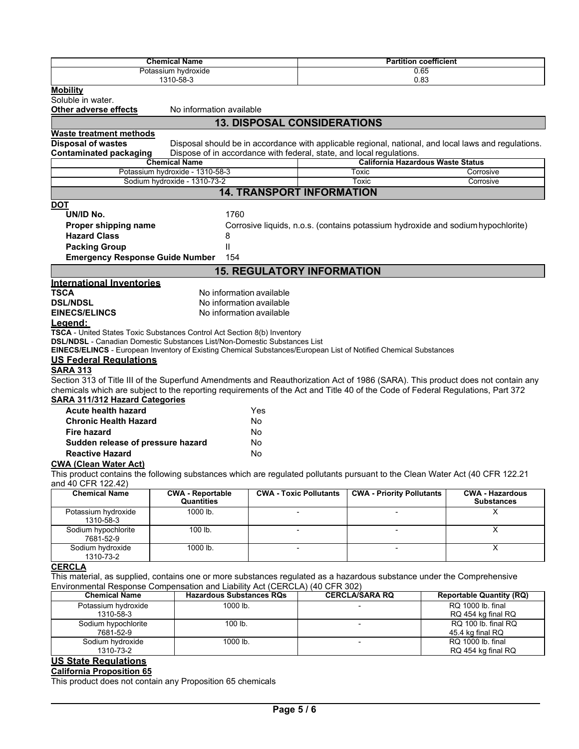|                                                                                                                                | <b>Chemical Name</b>                               |                                           | <b>Partition coefficient</b> |                                  |                                                                                                      |  |  |  |  |  |
|--------------------------------------------------------------------------------------------------------------------------------|----------------------------------------------------|-------------------------------------------|------------------------------|----------------------------------|------------------------------------------------------------------------------------------------------|--|--|--|--|--|
|                                                                                                                                | 0.65<br>Potassium hydroxide                        |                                           |                              |                                  |                                                                                                      |  |  |  |  |  |
|                                                                                                                                | 1310-58-3                                          |                                           |                              | 0.83                             |                                                                                                      |  |  |  |  |  |
| <b>Mobility</b>                                                                                                                |                                                    |                                           |                              |                                  |                                                                                                      |  |  |  |  |  |
| Soluble in water.                                                                                                              |                                                    |                                           |                              |                                  |                                                                                                      |  |  |  |  |  |
| No information available<br>Other adverse effects                                                                              |                                                    |                                           |                              |                                  |                                                                                                      |  |  |  |  |  |
| <b>13. DISPOSAL CONSIDERATIONS</b>                                                                                             |                                                    |                                           |                              |                                  |                                                                                                      |  |  |  |  |  |
| <b>Waste treatment methods</b>                                                                                                 |                                                    |                                           |                              |                                  |                                                                                                      |  |  |  |  |  |
| <b>Disposal of wastes</b>                                                                                                      |                                                    |                                           |                              |                                  | Disposal should be in accordance with applicable regional, national, and local laws and regulations. |  |  |  |  |  |
| <b>Contaminated packaging</b><br>Dispose of in accordance with federal, state, and local regulations.                          |                                                    |                                           |                              |                                  |                                                                                                      |  |  |  |  |  |
| <b>California Hazardous Waste Status</b><br><b>Chemical Name</b>                                                               |                                                    |                                           |                              |                                  |                                                                                                      |  |  |  |  |  |
| Potassium hydroxide - 1310-58-3<br>Corrosive<br>Toxic                                                                          |                                                    |                                           |                              |                                  |                                                                                                      |  |  |  |  |  |
|                                                                                                                                | Sodium hydroxide - 1310-73-2<br>Toxic<br>Corrosive |                                           |                              |                                  |                                                                                                      |  |  |  |  |  |
|                                                                                                                                |                                                    | <b>14. TRANSPORT INFORMATION</b>          |                              |                                  |                                                                                                      |  |  |  |  |  |
| <b>DOT</b>                                                                                                                     |                                                    |                                           |                              |                                  |                                                                                                      |  |  |  |  |  |
| UN/ID No.                                                                                                                      | 1760                                               |                                           |                              |                                  |                                                                                                      |  |  |  |  |  |
| Proper shipping name                                                                                                           |                                                    |                                           |                              |                                  | Corrosive liquids, n.o.s. (contains potassium hydroxide and sodium hypochlorite)                     |  |  |  |  |  |
| <b>Hazard Class</b>                                                                                                            | 8                                                  |                                           |                              |                                  |                                                                                                      |  |  |  |  |  |
| <b>Packing Group</b>                                                                                                           | Ш                                                  |                                           |                              |                                  |                                                                                                      |  |  |  |  |  |
|                                                                                                                                | 154                                                |                                           |                              |                                  |                                                                                                      |  |  |  |  |  |
| <b>Emergency Response Guide Number</b>                                                                                         |                                                    |                                           |                              |                                  |                                                                                                      |  |  |  |  |  |
|                                                                                                                                |                                                    | <b>15. REGULATORY INFORMATION</b>         |                              |                                  |                                                                                                      |  |  |  |  |  |
| <b>International Inventories</b>                                                                                               |                                                    |                                           |                              |                                  |                                                                                                      |  |  |  |  |  |
| <b>TSCA</b>                                                                                                                    | No information available                           |                                           |                              |                                  |                                                                                                      |  |  |  |  |  |
| <b>DSL/NDSL</b>                                                                                                                | No information available                           |                                           |                              |                                  |                                                                                                      |  |  |  |  |  |
| <b>EINECS/ELINCS</b>                                                                                                           | No information available                           |                                           |                              |                                  |                                                                                                      |  |  |  |  |  |
| <u>Legend:</u>                                                                                                                 |                                                    |                                           |                              |                                  |                                                                                                      |  |  |  |  |  |
| TSCA - United States Toxic Substances Control Act Section 8(b) Inventory                                                       |                                                    |                                           |                              |                                  |                                                                                                      |  |  |  |  |  |
| <b>DSL/NDSL</b> - Canadian Domestic Substances List/Non-Domestic Substances List                                               |                                                    |                                           |                              |                                  |                                                                                                      |  |  |  |  |  |
| EINECS/ELINCS - European Inventory of Existing Chemical Substances/European List of Notified Chemical Substances               |                                                    |                                           |                              |                                  |                                                                                                      |  |  |  |  |  |
| <b>US Federal Regulations</b>                                                                                                  |                                                    |                                           |                              |                                  |                                                                                                      |  |  |  |  |  |
| <b>SARA 313</b>                                                                                                                |                                                    |                                           |                              |                                  |                                                                                                      |  |  |  |  |  |
| Section 313 of Title III of the Superfund Amendments and Reauthorization Act of 1986 (SARA). This product does not contain any |                                                    |                                           |                              |                                  |                                                                                                      |  |  |  |  |  |
| chemicals which are subject to the reporting requirements of the Act and Title 40 of the Code of Federal Regulations, Part 372 |                                                    |                                           |                              |                                  |                                                                                                      |  |  |  |  |  |
| <b>SARA 311/312 Hazard Categories</b>                                                                                          |                                                    |                                           |                              |                                  |                                                                                                      |  |  |  |  |  |
| <b>Acute health hazard</b>                                                                                                     |                                                    | Yes                                       |                              |                                  |                                                                                                      |  |  |  |  |  |
| <b>Chronic Health Hazard</b>                                                                                                   |                                                    | No                                        |                              |                                  |                                                                                                      |  |  |  |  |  |
| <b>Fire hazard</b>                                                                                                             |                                                    | No                                        |                              |                                  |                                                                                                      |  |  |  |  |  |
| Sudden release of pressure hazard                                                                                              |                                                    | No                                        |                              |                                  |                                                                                                      |  |  |  |  |  |
| <b>Reactive Hazard</b>                                                                                                         |                                                    | No                                        |                              |                                  |                                                                                                      |  |  |  |  |  |
| <b>CWA (Clean Water Act)</b>                                                                                                   |                                                    |                                           |                              |                                  |                                                                                                      |  |  |  |  |  |
| This product contains the following substances which are regulated pollutants pursuant to the Clean Water Act (40 CFR 122.21   |                                                    |                                           |                              |                                  |                                                                                                      |  |  |  |  |  |
| and 40 CFR 122.42)                                                                                                             |                                                    |                                           |                              |                                  |                                                                                                      |  |  |  |  |  |
| <b>Chemical Name</b>                                                                                                           | <b>CWA - Reportable</b>                            | <b>CWA - Toxic Pollutants</b>             |                              | <b>CWA - Priority Pollutants</b> | <b>CWA - Hazardous</b>                                                                               |  |  |  |  |  |
|                                                                                                                                | Quantities                                         |                                           | Substances                   |                                  |                                                                                                      |  |  |  |  |  |
| Potassium hydroxide                                                                                                            | 1000 lb.                                           |                                           |                              |                                  | X                                                                                                    |  |  |  |  |  |
| 1310-58-3                                                                                                                      |                                                    |                                           |                              |                                  |                                                                                                      |  |  |  |  |  |
| Sodium hypochlorite                                                                                                            | 100 lb.                                            | $\overline{\mathsf{x}}$                   |                              |                                  |                                                                                                      |  |  |  |  |  |
| 7681-52-9<br>Sodium hydroxide                                                                                                  | 1000 lb.                                           | $\overline{\mathsf{x}}$<br>$\overline{a}$ |                              |                                  |                                                                                                      |  |  |  |  |  |
| 1310-73-2                                                                                                                      |                                                    |                                           | $\blacksquare$               |                                  |                                                                                                      |  |  |  |  |  |
| <b>CERCLA</b>                                                                                                                  |                                                    |                                           |                              |                                  |                                                                                                      |  |  |  |  |  |
| This material, as supplied, contains one or more substances regulated as a hazardous substance under the Comprehensive         |                                                    |                                           |                              |                                  |                                                                                                      |  |  |  |  |  |
| Environmental Response Compensation and Liability Act (CERCLA) (40 CFR 302)                                                    |                                                    |                                           |                              |                                  |                                                                                                      |  |  |  |  |  |
| <b>Chemical Name</b>                                                                                                           | <b>Hazardous Substances RQs</b>                    |                                           |                              | <b>CERCLA/SARA RQ</b>            | <b>Reportable Quantity (RQ)</b>                                                                      |  |  |  |  |  |
| Potassium hydroxide                                                                                                            | 1000 lb.                                           |                                           |                              |                                  | RQ 1000 lb. final                                                                                    |  |  |  |  |  |
| 1310-58-3                                                                                                                      |                                                    |                                           | RQ 454 kg final RQ           |                                  |                                                                                                      |  |  |  |  |  |
| Sodium hypochlorite                                                                                                            | 100 lb.                                            |                                           | RQ 100 lb. final RQ          |                                  |                                                                                                      |  |  |  |  |  |
| 7681-52-9                                                                                                                      |                                                    |                                           |                              |                                  | 45.4 kg final RQ                                                                                     |  |  |  |  |  |
| Sodium hydroxide                                                                                                               | 1000 lb.                                           |                                           |                              | $\overline{a}$                   | RQ 1000 lb. final                                                                                    |  |  |  |  |  |
| 1310-73-2                                                                                                                      |                                                    |                                           |                              |                                  | RQ 454 kg final RQ                                                                                   |  |  |  |  |  |
| <b>US State Regulations</b>                                                                                                    |                                                    |                                           |                              |                                  |                                                                                                      |  |  |  |  |  |

# **California Proposition 65**

This product does not contain any Proposition 65 chemicals